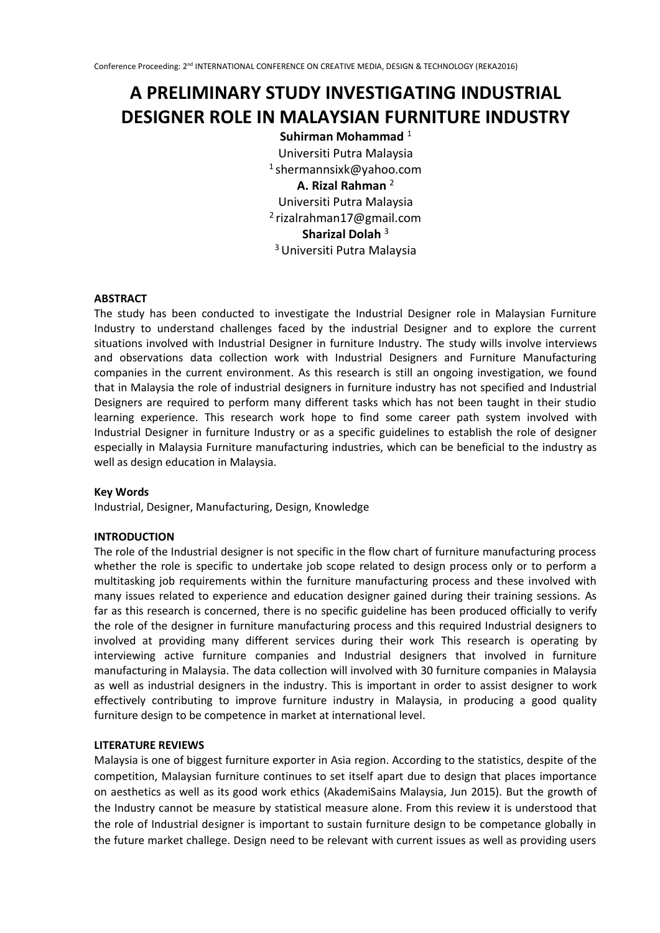# **A PRELIMINARY STUDY INVESTIGATING INDUSTRIAL DESIGNER ROLE IN MALAYSIAN FURNITURE INDUSTRY**

**Suhirman Mohammad**<sup>1</sup> Universiti Putra Malaysia <sup>1</sup>shermannsixk@yahoo.com **A. Rizal Rahman** <sup>2</sup> Universiti Putra Malaysia <sup>2</sup>rizalrahman17@gmail.com **Sharizal Dolah** <sup>3</sup> <sup>3</sup>Universiti Putra Malaysia

#### **ABSTRACT**

The study has been conducted to investigate the Industrial Designer role in Malaysian Furniture Industry to understand challenges faced by the industrial Designer and to explore the current situations involved with Industrial Designer in furniture Industry. The study wills involve interviews and observations data collection work with Industrial Designers and Furniture Manufacturing companies in the current environment. As this research is still an ongoing investigation, we found that in Malaysia the role of industrial designers in furniture industry has not specified and Industrial Designers are required to perform many different tasks which has not been taught in their studio learning experience. This research work hope to find some career path system involved with Industrial Designer in furniture Industry or as a specific guidelines to establish the role of designer especially in Malaysia Furniture manufacturing industries, which can be beneficial to the industry as well as design education in Malaysia.

#### **Key Words**

Industrial, Designer, Manufacturing, Design, Knowledge

#### **INTRODUCTION**

The role of the Industrial designer is not specific in the flow chart of furniture manufacturing process whether the role is specific to undertake job scope related to design process only or to perform a multitasking job requirements within the furniture manufacturing process and these involved with many issues related to experience and education designer gained during their training sessions. As far as this research is concerned, there is no specific guideline has been produced officially to verify the role of the designer in furniture manufacturing process and this required Industrial designers to involved at providing many different services during their work This research is operating by interviewing active furniture companies and Industrial designers that involved in furniture manufacturing in Malaysia. The data collection will involved with 30 furniture companies in Malaysia as well as industrial designers in the industry. This is important in order to assist designer to work effectively contributing to improve furniture industry in Malaysia, in producing a good quality furniture design to be competence in market at international level.

#### **LITERATURE REVIEWS**

Malaysia is one of biggest furniture exporter in Asia region. According to the statistics, despite of the competition, Malaysian furniture continues to set itself apart due to design that places importance on aesthetics as well as its good work ethics (AkademiSains Malaysia, Jun 2015). But the growth of the Industry cannot be measure by statistical measure alone. From this review it is understood that the role of Industrial designer is important to sustain furniture design to be competance globally in the future market challege. Design need to be relevant with current issues as well as providing users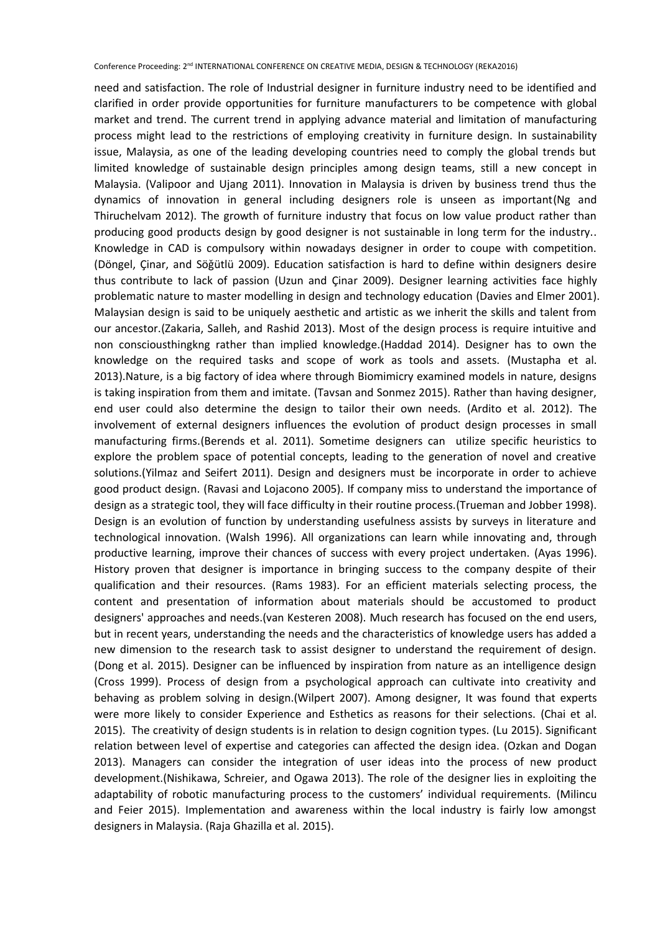need and satisfaction. The role of Industrial designer in furniture industry need to be identified and clarified in order provide opportunities for furniture manufacturers to be competence with global market and trend. The current trend in applying advance material and limitation of manufacturing process might lead to the restrictions of employing creativity in furniture design. In sustainability issue, Malaysia, as one of the leading developing countries need to comply the global trends but limited knowledge of sustainable design principles among design teams, still a new concept in Malaysia. (Valipoor and Ujang 2011). Innovation in Malaysia is driven by business trend thus the dynamics of innovation in general including designers role is unseen as important(Ng and Thiruchelvam 2012). The growth of furniture industry that focus on low value product rather than producing good products design by good designer is not sustainable in long term for the industry.. Knowledge in CAD is compulsory within nowadays designer in order to coupe with competition. (Döngel, Çinar, and Söǧütlü 2009). Education satisfaction is hard to define within designers desire thus contribute to lack of passion (Uzun and Çinar 2009). Designer learning activities face highly problematic nature to master modelling in design and technology education (Davies and Elmer 2001). Malaysian design is said to be uniquely aesthetic and artistic as we inherit the skills and talent from our ancestor.(Zakaria, Salleh, and Rashid 2013). Most of the design process is require intuitive and non consciousthingkng rather than implied knowledge.(Haddad 2014). Designer has to own the knowledge on the required tasks and scope of work as tools and assets. (Mustapha et al. 2013).Nature, is a big factory of idea where through Biomimicry examined models in nature, designs is taking inspiration from them and imitate. (Tavsan and Sonmez 2015). Rather than having designer, end user could also determine the design to tailor their own needs. (Ardito et al. 2012). The involvement of external designers influences the evolution of product design processes in small manufacturing firms.(Berends et al. 2011). Sometime designers can utilize specific heuristics to explore the problem space of potential concepts, leading to the generation of novel and creative solutions.(Yilmaz and Seifert 2011). Design and designers must be incorporate in order to achieve good product design. (Ravasi and Lojacono 2005). If company miss to understand the importance of design as a strategic tool, they will face difficulty in their routine process.(Trueman and Jobber 1998). Design is an evolution of function by understanding usefulness assists by surveys in literature and technological innovation. (Walsh 1996). All organizations can learn while innovating and, through productive learning, improve their chances of success with every project undertaken. (Ayas 1996). History proven that designer is importance in bringing success to the company despite of their qualification and their resources. (Rams 1983). For an efficient materials selecting process, the content and presentation of information about materials should be accustomed to product designers' approaches and needs.(van Kesteren 2008). Much research has focused on the end users, but in recent years, understanding the needs and the characteristics of knowledge users has added a new dimension to the research task to assist designer to understand the requirement of design. (Dong et al. 2015). Designer can be influenced by inspiration from nature as an intelligence design (Cross 1999). Process of design from a psychological approach can cultivate into creativity and behaving as problem solving in design.(Wilpert 2007). Among designer, It was found that experts were more likely to consider Experience and Esthetics as reasons for their selections. (Chai et al. 2015). The creativity of design students is in relation to design cognition types. (Lu 2015). Significant relation between level of expertise and categories can affected the design idea. (Ozkan and Dogan 2013). Managers can consider the integration of user ideas into the process of new product development.(Nishikawa, Schreier, and Ogawa 2013). The role of the designer lies in exploiting the adaptability of robotic manufacturing process to the customers' individual requirements. (Milincu and Feier 2015). Implementation and awareness within the local industry is fairly low amongst designers in Malaysia. (Raja Ghazilla et al. 2015).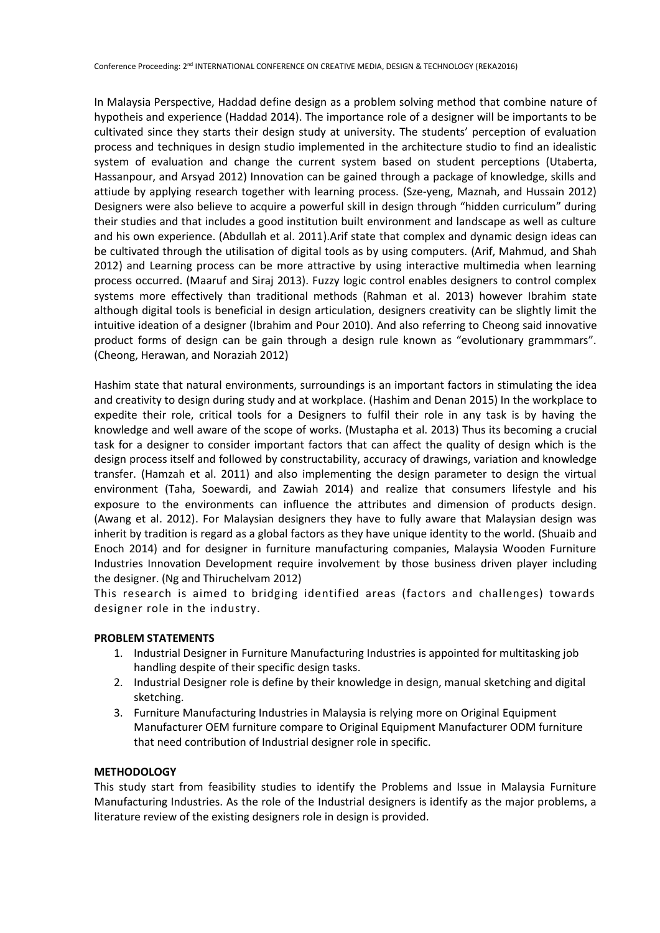In Malaysia Perspective, Haddad define design as a problem solving method that combine nature of hypotheis and experience (Haddad 2014). The importance role of a designer will be importants to be cultivated since they starts their design study at university. The students' perception of evaluation process and techniques in design studio implemented in the architecture studio to find an idealistic system of evaluation and change the current system based on student perceptions (Utaberta, Hassanpour, and Arsyad 2012) Innovation can be gained through a package of knowledge, skills and attiude by applying research together with learning process. (Sze-yeng, Maznah, and Hussain 2012) Designers were also believe to acquire a powerful skill in design through "hidden curriculum" during their studies and that includes a good institution built environment and landscape as well as culture and his own experience. (Abdullah et al. 2011).Arif state that complex and dynamic design ideas can be cultivated through the utilisation of digital tools as by using computers. (Arif, Mahmud, and Shah 2012) and Learning process can be more attractive by using interactive multimedia when learning process occurred. (Maaruf and Siraj 2013). Fuzzy logic control enables designers to control complex systems more effectively than traditional methods (Rahman et al. 2013) however Ibrahim state although digital tools is beneficial in design articulation, designers creativity can be slightly limit the intuitive ideation of a designer (Ibrahim and Pour 2010). And also referring to Cheong said innovative product forms of design can be gain through a design rule known as "evolutionary grammmars". (Cheong, Herawan, and Noraziah 2012)

Hashim state that natural environments, surroundings is an important factors in stimulating the idea and creativity to design during study and at workplace. (Hashim and Denan 2015) In the workplace to expedite their role, critical tools for a Designers to fulfil their role in any task is by having the knowledge and well aware of the scope of works. (Mustapha et al. 2013) Thus its becoming a crucial task for a designer to consider important factors that can affect the quality of design which is the design process itself and followed by constructability, accuracy of drawings, variation and knowledge transfer. (Hamzah et al. 2011) and also implementing the design parameter to design the virtual environment (Taha, Soewardi, and Zawiah 2014) and realize that consumers lifestyle and his exposure to the environments can influence the attributes and dimension of products design. (Awang et al. 2012). For Malaysian designers they have to fully aware that Malaysian design was inherit by tradition is regard as a global factors as they have unique identity to the world. (Shuaib and Enoch 2014) and for designer in furniture manufacturing companies, Malaysia Wooden Furniture Industries Innovation Development require involvement by those business driven player including the designer. (Ng and Thiruchelvam 2012)

This research is aimed to bridging identified areas (factors and challenges) towards designer role in the industry.

#### **PROBLEM STATEMENTS**

- 1. Industrial Designer in Furniture Manufacturing Industries is appointed for multitasking job handling despite of their specific design tasks.
- 2. Industrial Designer role is define by their knowledge in design, manual sketching and digital sketching.
- 3. Furniture Manufacturing Industries in Malaysia is relying more on Original Equipment Manufacturer OEM furniture compare to Original Equipment Manufacturer ODM furniture that need contribution of Industrial designer role in specific.

#### **METHODOLOGY**

This study start from feasibility studies to identify the Problems and Issue in Malaysia Furniture Manufacturing Industries. As the role of the Industrial designers is identify as the major problems, a literature review of the existing designers role in design is provided.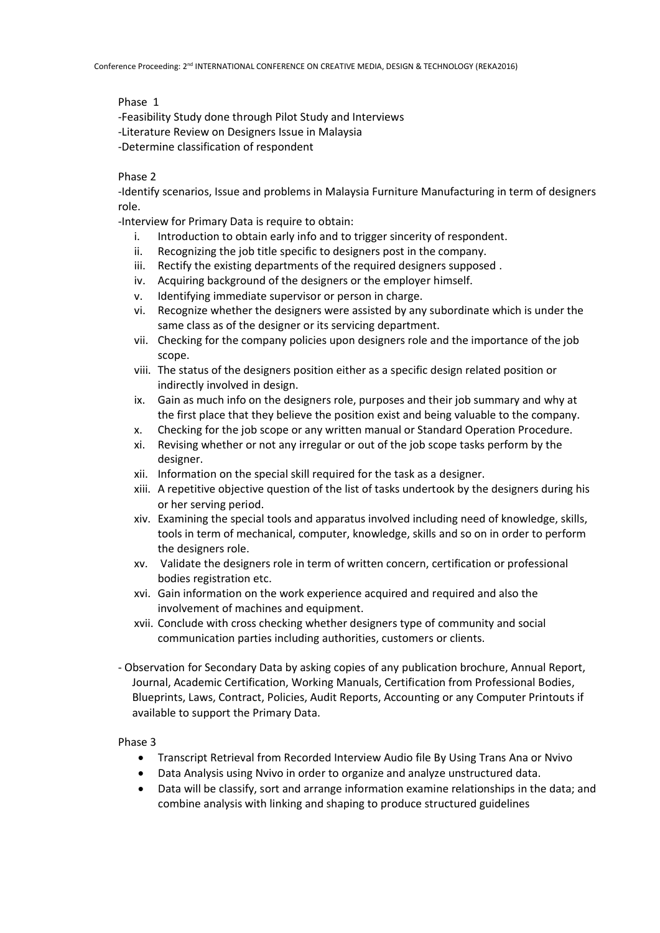Phase 1

-Feasibility Study done through Pilot Study and Interviews -Literature Review on Designers Issue in Malaysia -Determine classification of respondent

## Phase 2

-Identify scenarios, Issue and problems in Malaysia Furniture Manufacturing in term of designers role.

-Interview for Primary Data is require to obtain:

- i. Introduction to obtain early info and to trigger sincerity of respondent.
- ii. Recognizing the job title specific to designers post in the company.
- iii. Rectify the existing departments of the required designers supposed .
- iv. Acquiring background of the designers or the employer himself.
- v. Identifying immediate supervisor or person in charge.
- vi. Recognize whether the designers were assisted by any subordinate which is under the same class as of the designer or its servicing department.
- vii. Checking for the company policies upon designers role and the importance of the job scope.
- viii. The status of the designers position either as a specific design related position or indirectly involved in design.
- ix. Gain as much info on the designers role, purposes and their job summary and why at the first place that they believe the position exist and being valuable to the company.
- x. Checking for the job scope or any written manual or Standard Operation Procedure.
- xi. Revising whether or not any irregular or out of the job scope tasks perform by the designer.
- xii. Information on the special skill required for the task as a designer.
- xiii. A repetitive objective question of the list of tasks undertook by the designers during his or her serving period.
- xiv. Examining the special tools and apparatus involved including need of knowledge, skills, tools in term of mechanical, computer, knowledge, skills and so on in order to perform the designers role.
- xv. Validate the designers role in term of written concern, certification or professional bodies registration etc.
- xvi. Gain information on the work experience acquired and required and also the involvement of machines and equipment.
- xvii. Conclude with cross checking whether designers type of community and social communication parties including authorities, customers or clients.
- Observation for Secondary Data by asking copies of any publication brochure, Annual Report, Journal, Academic Certification, Working Manuals, Certification from Professional Bodies, Blueprints, Laws, Contract, Policies, Audit Reports, Accounting or any Computer Printouts if available to support the Primary Data.

Phase 3

- Transcript Retrieval from Recorded Interview Audio file By Using Trans Ana or Nvivo
- Data Analysis using Nvivo in order to organize and analyze unstructured data.
- Data will be classify, sort and arrange information examine relationships in the data; and combine analysis with linking and shaping to produce structured guidelines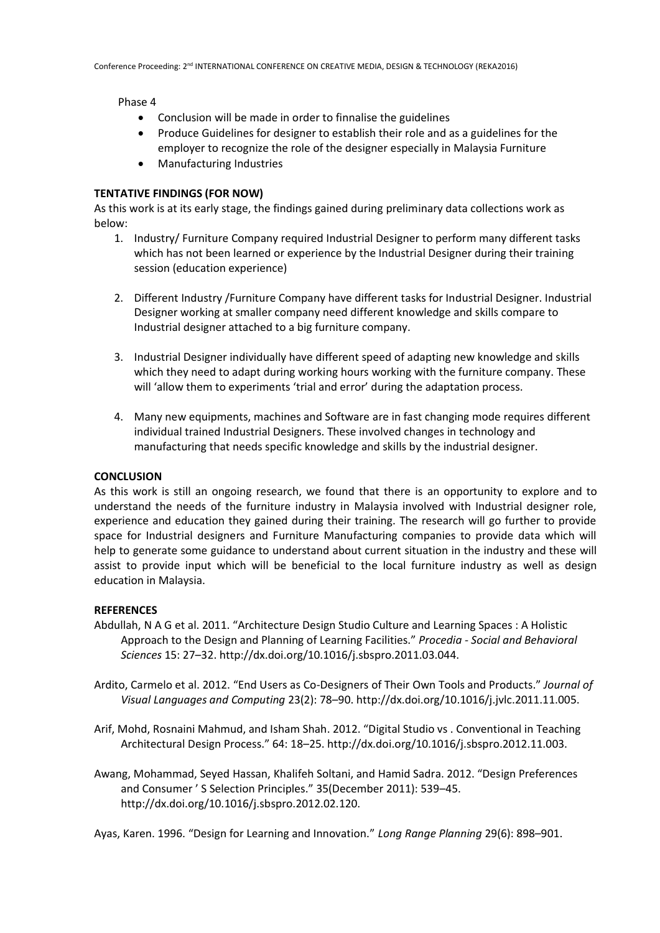Phase 4

- Conclusion will be made in order to finnalise the guidelines
- Produce Guidelines for designer to establish their role and as a guidelines for the employer to recognize the role of the designer especially in Malaysia Furniture
- Manufacturing Industries

### **TENTATIVE FINDINGS (FOR NOW)**

As this work is at its early stage, the findings gained during preliminary data collections work as below:

- 1. Industry/ Furniture Company required Industrial Designer to perform many different tasks which has not been learned or experience by the Industrial Designer during their training session (education experience)
- 2. Different Industry /Furniture Company have different tasks for Industrial Designer. Industrial Designer working at smaller company need different knowledge and skills compare to Industrial designer attached to a big furniture company.
- 3. Industrial Designer individually have different speed of adapting new knowledge and skills which they need to adapt during working hours working with the furniture company. These will 'allow them to experiments 'trial and error' during the adaptation process.
- 4. Many new equipments, machines and Software are in fast changing mode requires different individual trained Industrial Designers. These involved changes in technology and manufacturing that needs specific knowledge and skills by the industrial designer.

#### **CONCLUSION**

As this work is still an ongoing research, we found that there is an opportunity to explore and to understand the needs of the furniture industry in Malaysia involved with Industrial designer role, experience and education they gained during their training. The research will go further to provide space for Industrial designers and Furniture Manufacturing companies to provide data which will help to generate some guidance to understand about current situation in the industry and these will assist to provide input which will be beneficial to the local furniture industry as well as design education in Malaysia.

#### **REFERENCES**

- Abdullah, N A G et al. 2011. "Architecture Design Studio Culture and Learning Spaces : A Holistic Approach to the Design and Planning of Learning Facilities." *Procedia - Social and Behavioral Sciences* 15: 27–32. http://dx.doi.org/10.1016/j.sbspro.2011.03.044.
- Ardito, Carmelo et al. 2012. "End Users as Co-Designers of Their Own Tools and Products." *Journal of Visual Languages and Computing* 23(2): 78–90. http://dx.doi.org/10.1016/j.jvlc.2011.11.005.
- Arif, Mohd, Rosnaini Mahmud, and Isham Shah. 2012. "Digital Studio vs . Conventional in Teaching Architectural Design Process." 64: 18–25. http://dx.doi.org/10.1016/j.sbspro.2012.11.003.
- Awang, Mohammad, Seyed Hassan, Khalifeh Soltani, and Hamid Sadra. 2012. "Design Preferences and Consumer ' S Selection Principles." 35(December 2011): 539–45. http://dx.doi.org/10.1016/j.sbspro.2012.02.120.

Ayas, Karen. 1996. "Design for Learning and Innovation." *Long Range Planning* 29(6): 898–901.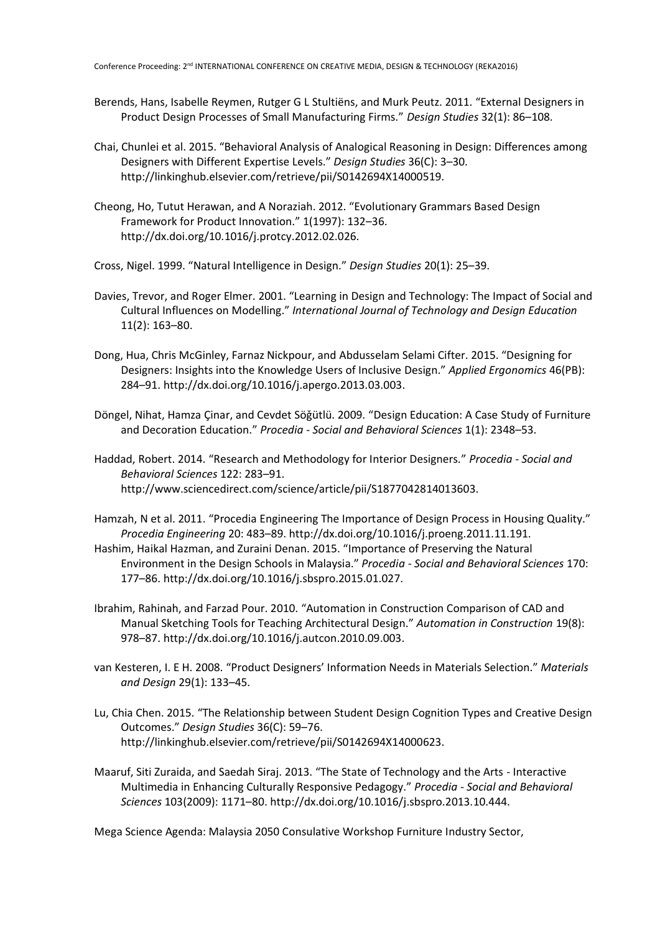- Berends, Hans, Isabelle Reymen, Rutger G L Stultiëns, and Murk Peutz. 2011. "External Designers in Product Design Processes of Small Manufacturing Firms." *Design Studies* 32(1): 86–108.
- Chai, Chunlei et al. 2015. "Behavioral Analysis of Analogical Reasoning in Design: Differences among Designers with Different Expertise Levels." *Design Studies* 36(C): 3–30. http://linkinghub.elsevier.com/retrieve/pii/S0142694X14000519.
- Cheong, Ho, Tutut Herawan, and A Noraziah. 2012. "Evolutionary Grammars Based Design Framework for Product Innovation." 1(1997): 132–36. http://dx.doi.org/10.1016/j.protcy.2012.02.026.
- Cross, Nigel. 1999. "Natural Intelligence in Design." *Design Studies* 20(1): 25–39.
- Davies, Trevor, and Roger Elmer. 2001. "Learning in Design and Technology: The Impact of Social and Cultural Influences on Modelling." *International Journal of Technology and Design Education* 11(2): 163–80.
- Dong, Hua, Chris McGinley, Farnaz Nickpour, and Abdusselam Selami Cifter. 2015. "Designing for Designers: Insights into the Knowledge Users of Inclusive Design." *Applied Ergonomics* 46(PB): 284–91. http://dx.doi.org/10.1016/j.apergo.2013.03.003.
- Döngel, Nihat, Hamza Çinar, and Cevdet Söǧütlü. 2009. "Design Education: A Case Study of Furniture and Decoration Education." *Procedia - Social and Behavioral Sciences* 1(1): 2348–53.
- Haddad, Robert. 2014. "Research and Methodology for Interior Designers." *Procedia - Social and Behavioral Sciences* 122: 283–91. http://www.sciencedirect.com/science/article/pii/S1877042814013603.
- Hamzah, N et al. 2011. "Procedia Engineering The Importance of Design Process in Housing Quality." *Procedia Engineering* 20: 483–89. http://dx.doi.org/10.1016/j.proeng.2011.11.191.
- Hashim, Haikal Hazman, and Zuraini Denan. 2015. "Importance of Preserving the Natural Environment in the Design Schools in Malaysia." *Procedia - Social and Behavioral Sciences* 170: 177–86. http://dx.doi.org/10.1016/j.sbspro.2015.01.027.
- Ibrahim, Rahinah, and Farzad Pour. 2010. "Automation in Construction Comparison of CAD and Manual Sketching Tools for Teaching Architectural Design." *Automation in Construction* 19(8): 978–87. http://dx.doi.org/10.1016/j.autcon.2010.09.003.
- van Kesteren, I. E H. 2008. "Product Designers' Information Needs in Materials Selection." *Materials and Design* 29(1): 133–45.
- Lu, Chia Chen. 2015. "The Relationship between Student Design Cognition Types and Creative Design Outcomes." *Design Studies* 36(C): 59–76. http://linkinghub.elsevier.com/retrieve/pii/S0142694X14000623.
- Maaruf, Siti Zuraida, and Saedah Siraj. 2013. "The State of Technology and the Arts Interactive Multimedia in Enhancing Culturally Responsive Pedagogy." *Procedia - Social and Behavioral Sciences* 103(2009): 1171–80. http://dx.doi.org/10.1016/j.sbspro.2013.10.444.

Mega Science Agenda: Malaysia 2050 Consulative Workshop Furniture Industry Sector,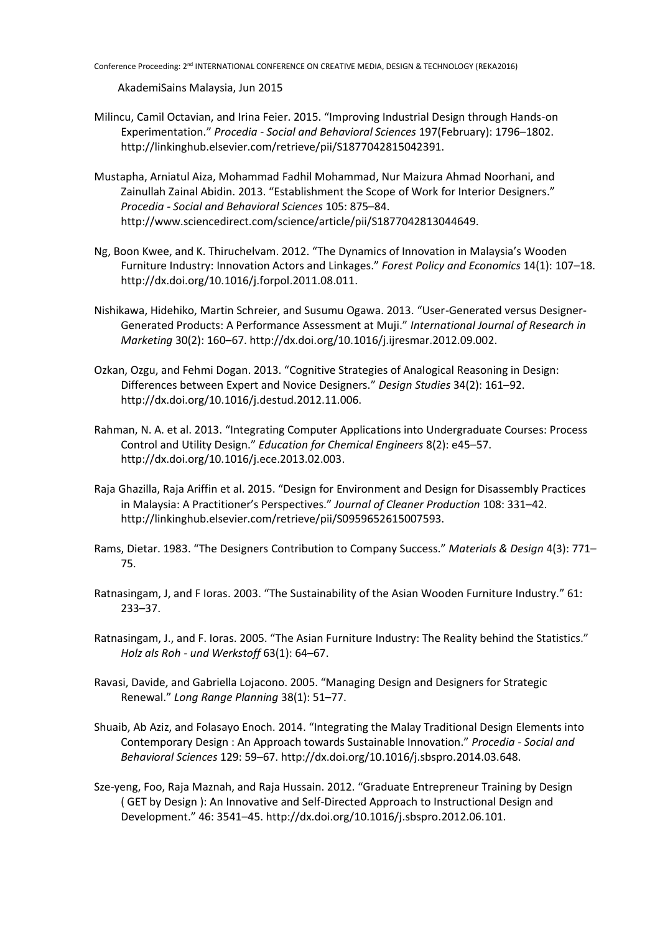Conference Proceeding: 2<sup>nd</sup> INTERNATIONAL CONFERENCE ON CREATIVE MEDIA, DESIGN & TECHNOLOGY (REKA2016)

AkademiSains Malaysia, Jun 2015

- Milincu, Camil Octavian, and Irina Feier. 2015. "Improving Industrial Design through Hands-on Experimentation." *Procedia - Social and Behavioral Sciences* 197(February): 1796–1802. http://linkinghub.elsevier.com/retrieve/pii/S1877042815042391.
- Mustapha, Arniatul Aiza, Mohammad Fadhil Mohammad, Nur Maizura Ahmad Noorhani, and Zainullah Zainal Abidin. 2013. "Establishment the Scope of Work for Interior Designers." *Procedia - Social and Behavioral Sciences* 105: 875–84. http://www.sciencedirect.com/science/article/pii/S1877042813044649.
- Ng, Boon Kwee, and K. Thiruchelvam. 2012. "The Dynamics of Innovation in Malaysia's Wooden Furniture Industry: Innovation Actors and Linkages." *Forest Policy and Economics* 14(1): 107–18. http://dx.doi.org/10.1016/j.forpol.2011.08.011.
- Nishikawa, Hidehiko, Martin Schreier, and Susumu Ogawa. 2013. "User-Generated versus Designer-Generated Products: A Performance Assessment at Muji." *International Journal of Research in Marketing* 30(2): 160–67. http://dx.doi.org/10.1016/j.ijresmar.2012.09.002.
- Ozkan, Ozgu, and Fehmi Dogan. 2013. "Cognitive Strategies of Analogical Reasoning in Design: Differences between Expert and Novice Designers." *Design Studies* 34(2): 161–92. http://dx.doi.org/10.1016/j.destud.2012.11.006.
- Rahman, N. A. et al. 2013. "Integrating Computer Applications into Undergraduate Courses: Process Control and Utility Design." *Education for Chemical Engineers* 8(2): e45–57. http://dx.doi.org/10.1016/j.ece.2013.02.003.
- Raja Ghazilla, Raja Ariffin et al. 2015. "Design for Environment and Design for Disassembly Practices in Malaysia: A Practitioner's Perspectives." *Journal of Cleaner Production* 108: 331–42. http://linkinghub.elsevier.com/retrieve/pii/S0959652615007593.
- Rams, Dietar. 1983. "The Designers Contribution to Company Success." *Materials & Design* 4(3): 771– 75.
- Ratnasingam, J, and F Ioras. 2003. "The Sustainability of the Asian Wooden Furniture Industry." 61: 233–37.
- Ratnasingam, J., and F. Ioras. 2005. "The Asian Furniture Industry: The Reality behind the Statistics." *Holz als Roh - und Werkstoff* 63(1): 64–67.
- Ravasi, Davide, and Gabriella Lojacono. 2005. "Managing Design and Designers for Strategic Renewal." *Long Range Planning* 38(1): 51–77.
- Shuaib, Ab Aziz, and Folasayo Enoch. 2014. "Integrating the Malay Traditional Design Elements into Contemporary Design : An Approach towards Sustainable Innovation." *Procedia - Social and Behavioral Sciences* 129: 59–67. http://dx.doi.org/10.1016/j.sbspro.2014.03.648.
- Sze-yeng, Foo, Raja Maznah, and Raja Hussain. 2012. "Graduate Entrepreneur Training by Design ( GET by Design ): An Innovative and Self-Directed Approach to Instructional Design and Development." 46: 3541–45. http://dx.doi.org/10.1016/j.sbspro.2012.06.101.